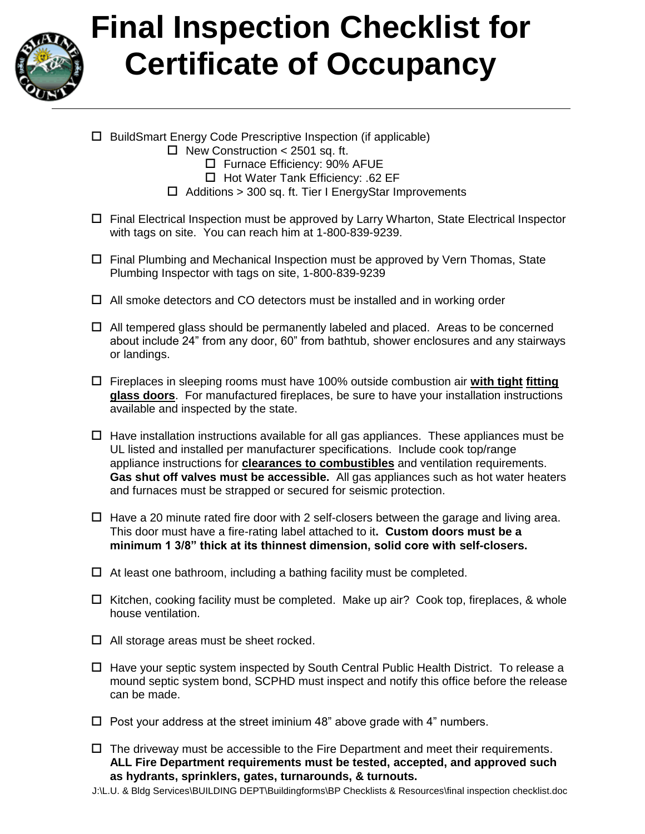

## **Final Inspection Checklist for Certificate of Occupancy**

- □ BuildSmart Energy Code Prescriptive Inspection (if applicable)
	- $\Box$  New Construction < 2501 sq. ft.
		- □ Furnace Efficiency: 90% AFUE
		- $\Box$  Hot Water Tank Efficiency: .62 EF
	- $\Box$  Additions > 300 sq. ft. Tier I EnergyStar Improvements
- Final Electrical Inspection must be approved by Larry Wharton, State Electrical Inspector with tags on site. You can reach him at 1-800-839-9239.
- $\Box$  Final Plumbing and Mechanical Inspection must be approved by Vern Thomas, State Plumbing Inspector with tags on site, 1-800-839-9239
- $\Box$  All smoke detectors and CO detectors must be installed and in working order
- $\Box$  All tempered glass should be permanently labeled and placed. Areas to be concerned about include 24" from any door, 60" from bathtub, shower enclosures and any stairways or landings.
- Fireplaces in sleeping rooms must have 100% outside combustion air **with tight fitting glass doors**. For manufactured fireplaces, be sure to have your installation instructions available and inspected by the state.
- $\Box$  Have installation instructions available for all gas appliances. These appliances must be UL listed and installed per manufacturer specifications. Include cook top/range appliance instructions for **clearances to combustibles** and ventilation requirements. **Gas shut off valves must be accessible.** All gas appliances such as hot water heaters and furnaces must be strapped or secured for seismic protection.
- $\Box$  Have a 20 minute rated fire door with 2 self-closers between the garage and living area. This door must have a fire-rating label attached to it**. Custom doors must be a minimum 1 3/8" thick at its thinnest dimension, solid core with self-closers.**
- $\Box$  At least one bathroom, including a bathing facility must be completed.
- $\Box$  Kitchen, cooking facility must be completed. Make up air? Cook top, fireplaces, & whole house ventilation.
- $\Box$  All storage areas must be sheet rocked.
- $\Box$  Have your septic system inspected by South Central Public Health District. To release a mound septic system bond, SCPHD must inspect and notify this office before the release can be made.
- $\Box$  Post your address at the street iminium 48" above grade with 4" numbers.
- $\Box$  The driveway must be accessible to the Fire Department and meet their requirements. **ALL Fire Department requirements must be tested, accepted, and approved such as hydrants, sprinklers, gates, turnarounds, & turnouts.**
- J:\L.U. & Bldg Services\BUILDING DEPT\Buildingforms\BP Checklists & Resources\final inspection checklist.doc